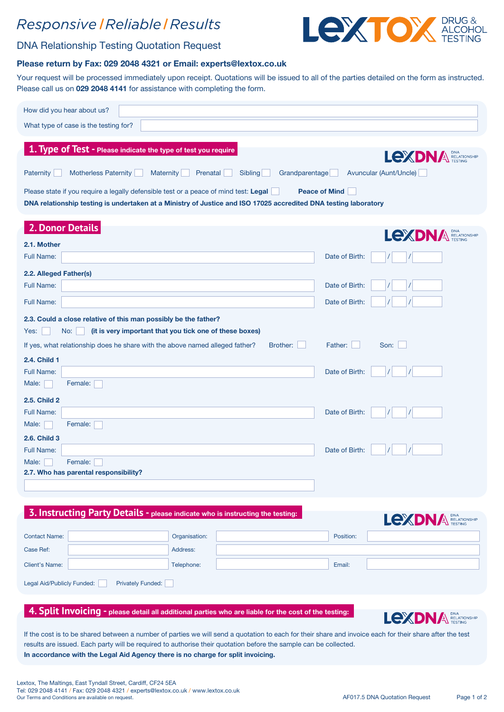## Responsive | Reliable | Results



### DNA Relationship Testing Quotation Request

#### Please return by Fax: 029 2048 4321 or Email: experts@lextox.co.uk

Your request will be processed immediately upon receipt. Quotations will be issued to all of the parties detailed on the form as instructed. Please call us on 029 2048 4141 for assistance with completing the form.

| How did you hear about us?                                                                                                                                                                              |                                                                                                                  |                                                         |  |  |  |
|---------------------------------------------------------------------------------------------------------------------------------------------------------------------------------------------------------|------------------------------------------------------------------------------------------------------------------|---------------------------------------------------------|--|--|--|
| What type of case is the testing for?                                                                                                                                                                   |                                                                                                                  |                                                         |  |  |  |
| 1. Type of Test - Please indicate the type of test you require<br><b>Motherless Paternity</b><br>Paternity<br><b>Maternity</b>                                                                          | Grandparentage<br>Prenatal<br>Sibling                                                                            | <b>LexDN/</b><br>RELATIONSHIP<br>Avuncular (Aunt/Uncle) |  |  |  |
| Please state if you require a legally defensible test or a peace of mind test: Legal<br>DNA relationship testing is undertaken at a Ministry of Justice and ISO 17025 accredited DNA testing laboratory |                                                                                                                  | <b>Peace of Mind</b>                                    |  |  |  |
| 2. Donor Details                                                                                                                                                                                        |                                                                                                                  | Lexp<br>RELATIONSHIP                                    |  |  |  |
| 2.1. Mother                                                                                                                                                                                             |                                                                                                                  |                                                         |  |  |  |
| <b>Full Name:</b>                                                                                                                                                                                       |                                                                                                                  | Date of Birth:                                          |  |  |  |
| 2.2. Alleged Father(s)                                                                                                                                                                                  |                                                                                                                  |                                                         |  |  |  |
| <b>Full Name:</b>                                                                                                                                                                                       |                                                                                                                  | Date of Birth:                                          |  |  |  |
| <b>Full Name:</b>                                                                                                                                                                                       |                                                                                                                  | Date of Birth:                                          |  |  |  |
| 2.3. Could a close relative of this man possibly be the father?<br>(it is very important that you tick one of these boxes)<br>Yes:<br>No:                                                               |                                                                                                                  |                                                         |  |  |  |
| If yes, what relationship does he share with the above named alleged father?                                                                                                                            | Brother:                                                                                                         | Son:<br>Father:                                         |  |  |  |
| <b>2.4. Child 1</b>                                                                                                                                                                                     |                                                                                                                  |                                                         |  |  |  |
| <b>Full Name:</b>                                                                                                                                                                                       |                                                                                                                  | Date of Birth:                                          |  |  |  |
| Female:<br>Male:                                                                                                                                                                                        |                                                                                                                  |                                                         |  |  |  |
| 2.5. Child 2                                                                                                                                                                                            |                                                                                                                  |                                                         |  |  |  |
| <b>Full Name:</b>                                                                                                                                                                                       |                                                                                                                  | Date of Birth:                                          |  |  |  |
| Female:<br>Male:<br>2.6. Child 3                                                                                                                                                                        |                                                                                                                  |                                                         |  |  |  |
| <b>Full Name:</b>                                                                                                                                                                                       |                                                                                                                  | Date of Birth:                                          |  |  |  |
| Female:<br>Male:                                                                                                                                                                                        |                                                                                                                  |                                                         |  |  |  |
| 2.7. Who has parental responsibility?                                                                                                                                                                   |                                                                                                                  |                                                         |  |  |  |
|                                                                                                                                                                                                         |                                                                                                                  |                                                         |  |  |  |
| 3. Instructing Party Details - please indicate who is instructing the testing:                                                                                                                          |                                                                                                                  | LEXDNA RELATIONSHIP                                     |  |  |  |
| <b>Contact Name:</b>                                                                                                                                                                                    | Organisation:                                                                                                    | Position:                                               |  |  |  |
| Case Ref:                                                                                                                                                                                               | Address:                                                                                                         |                                                         |  |  |  |
| <b>Client's Name:</b>                                                                                                                                                                                   | Telephone:                                                                                                       | Email:                                                  |  |  |  |
| Legal Aid/Publicly Funded:<br><b>Privately Funded:</b>                                                                                                                                                  |                                                                                                                  |                                                         |  |  |  |
|                                                                                                                                                                                                         |                                                                                                                  |                                                         |  |  |  |
| 4. Split Invoicing - please detail all additional parties who are liable for the cost of the testing:                                                                                                   |                                                                                                                  | LEXDNA RELATIONSHIP                                     |  |  |  |
| If the cost is to be shared between a number of parties we will send a quotation to each for their share and invoice each for their share after the test                                                | results are issued. Each party will be required to authorise their quotation before the sample can be collected. |                                                         |  |  |  |

In accordance with the Legal Aid Agency there is no charge for split invoicing.